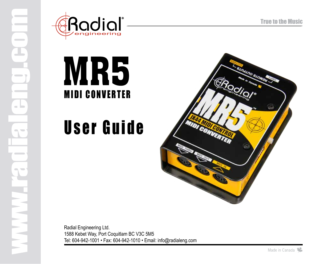

 $\sim$ 

 $\blacksquare$ 

 $\overline{\phantom{a}}$ 



# User Guide



Radial Engineering Ltd. 1588 Kebet Way, Port Coquitlam BC V3C 5M5 Tel: 604-942-1001 • Fax: 604-942-1010 • Email: info@radialeng.com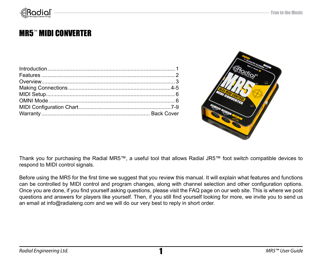

### MR5™ MIDI CONVERTER



Thank you for purchasing the Radial MR5™, a useful tool that allows Radial JR5™ foot switch compatible devices to respond to MIDI control signals.

Before using the MR5 for the first time we suggest that you review this manual. It will explain what features and functions can be controlled by MIDI control and program changes, along with channel selection and other configuration options. Once you are done, if you find yourself asking questions, please visit the FAQ page on our web site. This is where we post questions and answers for players like yourself. Then, if you still find yourself looking for more, we invite you to send us an email at info@radialeng.com and we will do our very best to reply in short order.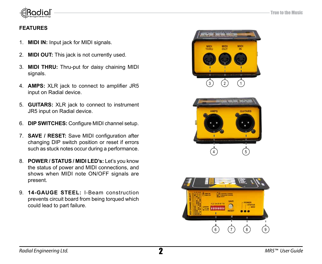

#### **FEATURES**

- 1. **MIDI IN:** Input jack for MIDI signals.
- 2. **MIDI OUT:** This jack is not currently used.
- 3. **MIDI THRU:** Thru-put for daisy chaining MIDI signals.
- 4. **AMPS:** XLR jack to connect to amplifier JR5 input on Radial device.
- 5. **GUITARS:** XLR jack to connect to instrument JR5 input on Radial device.
- 6. **DIP SWITCHES:** Configure MIDI channel setup.
- 7. **SAVE / RESET:** Save MIDI configuration after changing DIP switch position or reset if errors such as stuck notes occur during a performance.
- 8. **POWER / STATUS / MIDI LED's:** Let's you know the status of power and MIDI connections, and shows when MIDI note ON/OFF signals are present.
- 9. **14-GAUGE STEEL:** I-Beam construction prevents circuit board from being torqued which could lead to part failure.





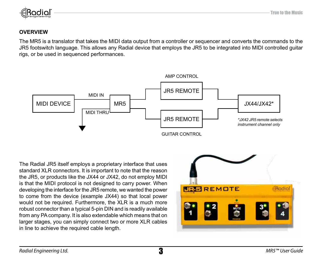

#### **OVERVIEW**

The MR5 is a translator that takes the MIDI data output from a controller or sequencer and converts the commands to the JR5 footswitch language. This allows any Radial device that employs the JR5 to be integrated into MIDI controlled guitar rigs, or be used in sequenced performances.



The Radial JR5 itself employs a proprietary interface that uses standard XLR connectors. It is important to note that the reason the JR5, or products like the JX44 or JX42, do not employ MIDI is that the MIDI protocol is not designed to carry power. When developing the interface for the JR5 remote, we wanted the power to come from the device (example JX44) so that local power would not be required. Furthermore, the XLR is a much more robust connector than a typical 5-pin DIN and is readily available from any PA company. It is also extendable which means that on larger stages, you can simply connect two or more XLR cables in line to achieve the required cable length.

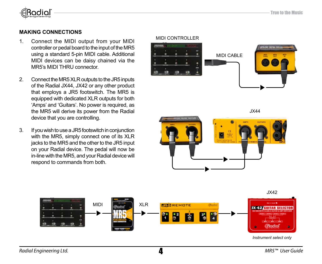

#### **Making Connections**

- 1. Connect the MIDI output from your MIDI controller or pedal board to the input of the MR5 using a standard 5-pin MIDI cable. Additional MIDI devices can be daisy chained via the MR5's MIDI THRU connector.
- 2. Connect the MR5 XLR outputs to the JR5 inputs of the Radial JX44, JX42 or any other product that employs a JR5 footswitch. The MR5 is equipped with dedicated XLR outputs for both 'Amps' and 'Guitars'. No power is required, as the MR5 will derive its power from the Radial device that you are controlling.
- 3. If you wish to use a JR5 footswitch in conjunction with the MR5, simply connect one of its XLR jacks to the MR5 and the other to the JR5 input on your Radial device. The pedal will now be in-line with the MR5, and your Radial device will respond to commands from both.



JX44



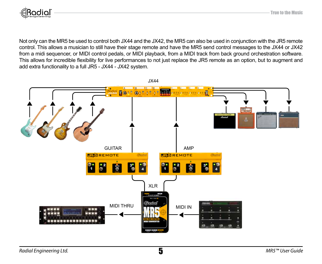

Not only can the MR5 be used to control both JX44 and the JX42, the MR5 can also be used in conjunction with the JR5 remote control. This allows a musician to still have their stage remote and have the MR5 send control messages to the JX44 or JX42 from a midi sequencer, or MIDI control pedals, or MIDI playback, from a MIDI track from back ground orchestration software. This allows for incredible flexibility for live performances to not just replace the JR5 remote as an option, but to augment and add extra functionality to a full JR5 - JX44 - JX42 system.

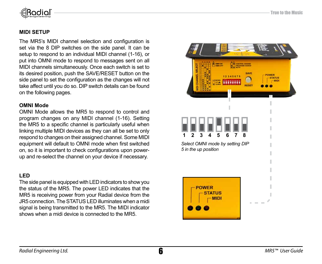

#### **Midi Setup**

The MR5's MIDI channel selection and configuration is set via the 8 DIP switches on the side panel. It can be setup to respond to an individual MIDI channel (1-16), or put into OMNI mode to respond to messages sent on all MIDI channels simultaneously. Once each switch is set to its desired position, push the SAVE/RESET button on the side panel to set the configuration as the changes will not take affect until you do so. DIP switch details can be found on the following pages.

#### **OMNI Mode**

OMNI Mode allows the MR5 to respond to control and program changes on any MIDI channel (1-16). Setting the MR5 to a specific channel is particularly useful when linking multiple MIDI devices as they can all be set to only respond to changes on their assigned channel. Some MIDI equipment will default to OMNI mode when first switched on, so it is important to check configurations upon powerup and re-select the channel on your device if necessary.

#### **LED**

The side panel is equipped with LED indicators to show you the status of the MR5. The power LED indicates that the MR5 is receiving power from your Radial device from the JR5 connection. The STATUS LED illuminates when a midi signal is being transmitted to the MR5. The MIDI indicator shows when a midi device is connected to the MR5.





*Select OMNI mode by setting DIP 5 in the up position*

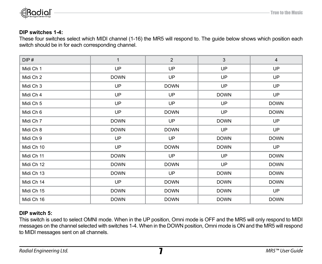

#### **DIP switches 1-4:**

These four switches select which MIDI channel (1-16) the MR5 will respond to. The guide below shows which position each switch should be in for each corresponding channel.

| DIP#       | $\mathbf{1}$ | $\overline{2}$ | 3           | $\overline{4}$ |  |
|------------|--------------|----------------|-------------|----------------|--|
| Midi Ch 1  | UP           | UP             | UP          | UP             |  |
| Midi Ch 2  | <b>DOWN</b>  | UP             | <b>UP</b>   | UP             |  |
| Midi Ch 3  | <b>UP</b>    | <b>DOWN</b>    | <b>UP</b>   | UP             |  |
| Midi Ch 4  | <b>UP</b>    | UP             | <b>DOWN</b> | UP             |  |
| Midi Ch 5  | <b>UP</b>    | UP             | <b>UP</b>   | <b>DOWN</b>    |  |
| Midi Ch 6  | <b>UP</b>    | <b>DOWN</b>    | UP          | <b>DOWN</b>    |  |
| Midi Ch 7  | <b>DOWN</b>  | UP             | <b>DOWN</b> | UP             |  |
| Midi Ch 8  | <b>DOWN</b>  | <b>DOWN</b>    | <b>UP</b>   | UP             |  |
| Midi Ch 9  | <b>UP</b>    | UP             | <b>DOWN</b> | <b>DOWN</b>    |  |
| Midi Ch 10 | <b>UP</b>    | <b>DOWN</b>    | <b>DOWN</b> | <b>UP</b>      |  |
| Midi Ch 11 | <b>DOWN</b>  | UP             | <b>UP</b>   | <b>DOWN</b>    |  |
| Midi Ch 12 | <b>DOWN</b>  | <b>DOWN</b>    | <b>UP</b>   |                |  |
| Midi Ch 13 | <b>DOWN</b>  | UP             | <b>DOWN</b> | <b>DOWN</b>    |  |
| Midi Ch 14 | <b>UP</b>    | <b>DOWN</b>    | <b>DOWN</b> | <b>DOWN</b>    |  |
| Midi Ch 15 | <b>DOWN</b>  | <b>DOWN</b>    | <b>DOWN</b> | UP             |  |
| Midi Ch 16 | <b>DOWN</b>  | <b>DOWN</b>    | <b>DOWN</b> | <b>DOWN</b>    |  |

#### **DIP switch 5:**

This switch is used to select OMNI mode. When in the UP position, Omni mode is OFF and the MR5 will only respond to MIDI messages on the channel selected with switches 1-4. When in the DOWN position, Omni mode is ON and the MR5 will respond to MIDI messages sent on all channels.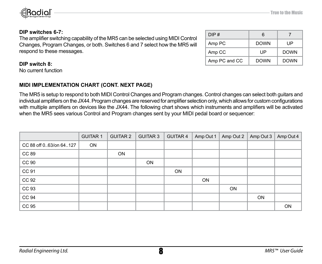

#### **DIP switches 6-7:**

The amplifier switching capability of the MR5 can be selected using MIDI Control Changes, Program Changes, or both. Switches 6 and 7 select how the MR5 will respond to these messages.

| DIP#          | 6           |             |
|---------------|-------------|-------------|
| Amp PC        | <b>DOWN</b> | UP          |
| Amp CC        | UP          | <b>DOWN</b> |
| Amp PC and CC | <b>DOWN</b> | <b>DOWN</b> |

#### **DIP switch 8:**

No current function

#### **MIDI IMPLEMENTATION CHART (cONT. NEXT PAGE)**

The MR5 is setup to respond to both MIDI Control Changes and Program changes. Control changes can select both guitars and individual amplifiers on the JX44. Program changes are reserved for amplifier selection only, which allows for custom configurations with multiple amplifiers on devices like the JX44. The following chart shows which instruments and amplifiers will be activated when the MR5 sees various Control and Program changes sent by your MIDI pedal board or sequencer:

|                        | <b>GUITAR 1</b> | <b>GUITAR 2</b> | <b>GUITAR 3</b> | <b>GUITAR 4</b> | Amp Out 1 | Amp Out 2 | Amp Out 3 | Amp Out 4 |
|------------------------|-----------------|-----------------|-----------------|-----------------|-----------|-----------|-----------|-----------|
| CC 88 off 063/on 64127 | ON              |                 |                 |                 |           |           |           |           |
| CC 89                  |                 | ON              |                 |                 |           |           |           |           |
| CC 90                  |                 |                 | ON              |                 |           |           |           |           |
| CC 91                  |                 |                 |                 | ON              |           |           |           |           |
| CC 92                  |                 |                 |                 |                 | ON        |           |           |           |
| CC 93                  |                 |                 |                 |                 |           | ON        |           |           |
| CC 94                  |                 |                 |                 |                 |           |           | ON        |           |
| CC 95                  |                 |                 |                 |                 |           |           |           | <b>ON</b> |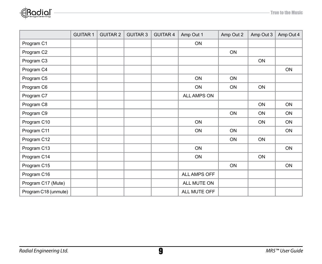

|                      | <b>GUITAR 1</b> | <b>GUITAR 2</b> | <b>GUITAR 3</b> | <b>GUITAR 4</b> | Amp Out 1    | Amp Out 2 | Amp Out 3 | Amp Out 4 |
|----------------------|-----------------|-----------------|-----------------|-----------------|--------------|-----------|-----------|-----------|
| Program C1           |                 |                 |                 |                 | ON           |           |           |           |
| Program C2           |                 |                 |                 |                 |              | ON        |           |           |
| Program C3           |                 |                 |                 |                 |              |           | ON        |           |
| Program C4           |                 |                 |                 |                 |              |           |           | ON        |
| Program C5           |                 |                 |                 |                 | ON           | ON        |           |           |
| Program C6           |                 |                 |                 |                 | ON           | ON        | ON        |           |
| Program C7           |                 |                 |                 |                 | ALL AMPS ON  |           |           |           |
| Program C8           |                 |                 |                 |                 |              |           | ON        | ON        |
| Program C9           |                 |                 |                 |                 |              | ON        | ON        | ON        |
| Program C10          |                 |                 |                 |                 | ON           |           | ON        | ON        |
| Program C11          |                 |                 |                 |                 | ON           | ON        |           | ON        |
| Program C12          |                 |                 |                 |                 |              | ON        | ON        |           |
| Program C13          |                 |                 |                 |                 | ON           |           |           | ON        |
| Program C14          |                 |                 |                 |                 | ON           |           | ON        |           |
| Program C15          |                 |                 |                 |                 |              | ON        |           | ON        |
| Program C16          |                 |                 |                 |                 | ALL AMPS OFF |           |           |           |
| Program C17 (Mute)   |                 |                 |                 |                 | ALL MUTE ON  |           |           |           |
| Program C18 (unmute) |                 |                 |                 |                 | ALL MUTE OFF |           |           |           |